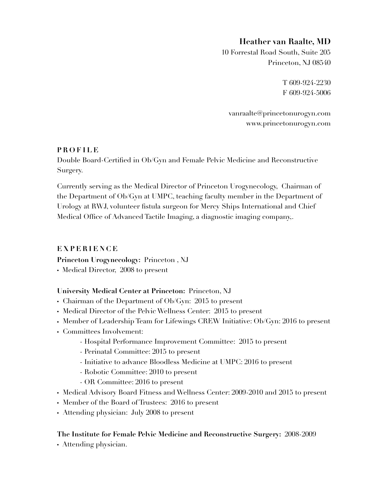# **Heather van Raalte, MD**

10 Forrestal Road South, Suite 205 Princeton, NJ 08540

> T 609-924-2230 F 609-924-5006

vanraalte@princetonurogyn.com www.princetonurogyn.com

## **PROFILE**

Double Board-Certified in Ob/Gyn and Female Pelvic Medicine and Reconstructive Surgery.

Currently serving as the Medical Director of Princeton Urogynecology, Chairman of the Department of Ob/Gyn at UMPC, teaching faculty member in the Department of Urology at RWJ, volunteer fistula surgeon for Mercy Ships International and Chief Medical Office of Advanced Tactile Imaging, a diagnostic imaging company,.

## **EXPERIENCE**

**Princeton Urogynecology:** Princeton , NJ

• Medical Director, 2008 to present

## **University Medical Center at Princeton:** Princeton, NJ

- Chairman of the Department of Ob/Gyn: 2015 to present
- Medical Director of the Pelvic Wellness Center: 2015 to present
- Member of Leadership Team for Lifewings CREW Initiative: Ob/Gyn: 2016 to present
- Committees Involvement:
	- Hospital Performance Improvement Committee: 2015 to present
	- Perinatal Committee: 2015 to present
	- Initiative to advance Bloodless Medicine at UMPC: 2016 to present
	- Robotic Committee: 2010 to present
	- OR Committee: 2016 to present
- Medical Advisory Board Fitness and Wellness Center: 2009-2010 and 2015 to present
- Member of the Board of Trustees: 2016 to present
- Attending physician: July 2008 to present

## **The Institute for Female Pelvic Medicine and Reconstructive Surgery:** 2008-2009

• Attending physician.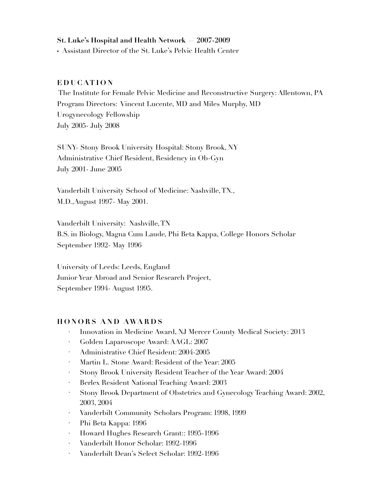### **St. Luke's Hospital and Health Network — 2007-2009**

• Assistant Director of the St. Luke's Pelvic Health Center

#### **EDUCATION**

 The Institute for Female Pelvic Medicine and Reconstructive Surgery: Allentown, PA Program Directors: Vincent Lucente, MD and Miles Murphy, MD Urogynecology Fellowship July 2005- July 2008

SUNY- Stony Brook University Hospital: Stony Brook, NY Administrative Chief Resident, Residency in Ob-Gyn July 2001- June 2005

Vanderbilt University School of Medicine: Nashville, TN., M.D.,August 1997- May 2001.

Vanderbilt University: Nashville, TN B.S. in Biology, Magna Cum Laude, Phi Beta Kappa, College Honors Scholar September 1992- May 1996

University of Leeds: Leeds, England Junior Year Abroad and Senior Research Project, September 1994- August 1995.

### **HONORS AND AWARDS**

- · Innovation in Medicine Award, NJ Mercer County Medical Society: 2013
- · Golden Laparoscope Award: AAGL: 2007
- · Administrative Chief Resident: 2004-2005
- · Martin L. Stone Award: Resident of the Year: 2005
- · Stony Brook University Resident Teacher of the Year Award: 2004
- · Berlex Resident National Teaching Award: 2003
- · Stony Brook Department of Obstetrics and Gynecology Teaching Award: 2002, 2003, 2004
- · Vanderbilt Community Scholars Program: 1998, 1999
- · Phi Beta Kappa: 1996
- · Howard Hughes Research Grant:: 1995-1996
- · Vanderbilt Honor Scholar: 1992-1996
- · Vanderbilt Dean's Select Scholar: 1992-1996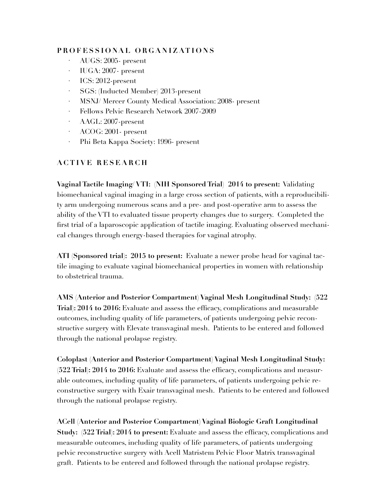## **PROFESSIONAL ORGANIZATIONS**

- · AUGS: 2005- present
- · IUGA: 2007- present
- · ICS: 2012-present
- · SGS: (Inducted Member) 2013-present
- · MSNJ/ Mercer County Medical Association: 2008- present
- · Fellows Pelvic Research Network 2007-2009
- · AAGL: 2007-present
- · ACOG: 2001- present
- · Phi Beta Kappa Society: 1996- present

# **ACTIVE RESEARCH**

**Vaginal Tactile Imaging/ VTI: (NIH Sponsored Trial) 2014 to present:** Validating biomechanical vaginal imaging in a large cross section of patients, with a reproducibility arm undergoing numerous scans and a pre- and post-operative arm to assess the ability of the VTI to evaluated tissue property changes due to surgery. Completed the first trial of a laparoscopic application of tactile imaging. Evaluating observed mechanical changes through energy-based therapies for vaginal atrophy.

**ATI (Sponsored trial): 2015 to present:** Evaluate a newer probe head for vaginal tactile imaging to evaluate vaginal biomechanical properties in women with relationship to obstetrical trauma.

**AMS (Anterior and Posterior Compartment) Vaginal Mesh Longitudinal Study: (522 Trial): 2014 to 2016:** Evaluate and assess the efficacy, complications and measurable outcomes, including quality of life parameters, of patients undergoing pelvic reconstructive surgery with Elevate transvaginal mesh. Patients to be entered and followed through the national prolapse registry.

**Coloplast (Anterior and Posterior Compartment) Vaginal Mesh Longitudinal Study: (522 Trial): 2014 to 2016:** Evaluate and assess the efficacy, complications and measurable outcomes, including quality of life parameters, of patients undergoing pelvic reconstructive surgery with Exair transvaginal mesh. Patients to be entered and followed through the national prolapse registry.

**ACell (Anterior and Posterior Compartment) Vaginal Biologic Graft Longitudinal Study: (522 Trial): 2014 to present:** Evaluate and assess the efficacy, complications and measurable outcomes, including quality of life parameters, of patients undergoing pelvic reconstructive surgery with Acell Matristem Pelvic Floor Matrix transvaginal graft. Patients to be entered and followed through the national prolapse registry.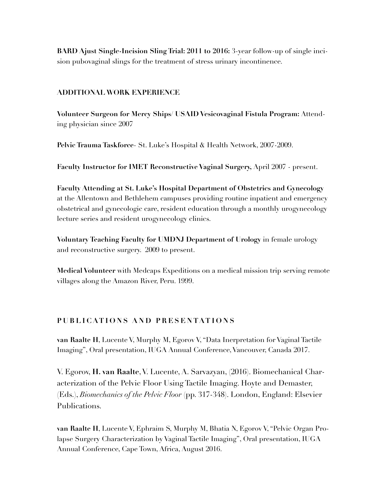**BARD Ajust Single-Incision Sling Trial: 2011 to 2016:** 3-year follow-up of single incision pubovaginal slings for the treatment of stress urinary incontinence.

#### **ADDITIONAL WORK EXPERIENCE**

**Volunteer Surgeon for Mercy Ships/ USAID Vesicovaginal Fistula Program:** Attending physician since 2007

**Pelvic Trauma Taskforce**- St. Luke's Hospital & Health Network, 2007-2009.

**Faculty Instructor for IMET Reconstructive Vaginal Surgery,** April 2007 - present.

**Faculty Attending at St. Luke's Hospital Department of Obstetrics and Gynecology**  at the Allentown and Bethlehem campuses providing routine inpatient and emergency obstetrical and gynecologic care, resident education through a monthly urogynecology lecture series and resident urogynecology clinics.

**Voluntary Teaching Faculty for UMDNJ Department of Urology** in female urology and reconstructive surgery. 2009 to present.

**Medical Volunteer** with Medcaps Expeditions on a medical mission trip serving remote villages along the Amazon River, Peru. 1999.

#### **PUBLICATIONS AND PRESENTATIONS**

**van Raalte H**, Lucente V, Murphy M, Egorov V, "Data Inerpretation for Vaginal Tactile Imaging", Oral presentation, IUGA Annual Conference, Vancouver, Canada 2017.

V. Egorov, **H. van Raalte**, V. Lucente, A. Sarvazyan, (2016). Biomechanical Characterization of the Pelvic Floor Using Tactile Imaging. Hoyte and Demaster, (Eds.), *Biomechanics of the Pelvic Floor* (pp. 317-348). London, England: Elsevier Publications.

**van Raalte H**, Lucente V, Ephraim S, Murphy M, Bhatia N, Egorov V, "Pelvic Organ Prolapse Surgery Characterization by Vaginal Tactile Imaging", Oral presentation, IUGA Annual Conference, Cape Town, Africa, August 2016.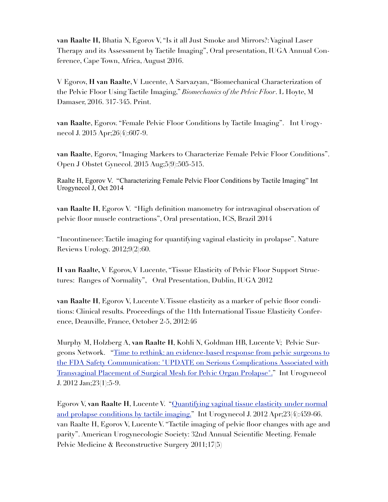**van Raalte H,** Bhatia N, Egorov V, "Is it all Just Smoke and Mirrors?: Vaginal Laser Therapy and its Assessment by Tactile Imaging", Oral presentation, IUGA Annual Conference, Cape Town, Africa, August 2016.

V Egorov, **H van Raalte**, V Lucente, A Sarvazyan, "Biomechanical Characterization of the Pelvic Floor Using Tactile Imaging," *Biomechanics of the Pelvic Floor*. L Hoyte, M Damaser, 2016. 317-345. Print.

**van Raalte**, Egorov. "Female Pelvic Floor Conditions by Tactile Imaging". Int Urogynecol J. 2015 Apr;26(4):607-9.

**van Raalte**, Egorov, "Imaging Markers to Characterize Female Pelvic Floor Conditions". Open J Obstet Gynecol. 2015 Aug;5(9):505-515.

Raalte H, Egorov V. "Characterizing Female Pelvic Floor Conditions by Tactile Imaging" Int Urogynecol J, Oct 2014

**van Raalte H**, Egorov V. "High definition manometry for intravaginal observation of pelvic floor muscle contractions", Oral presentation, ICS, Brazil 2014

"Incontinence: Tactile imaging for quantifying vaginal elasticity in prolapse". Nature Reviews Urology. 2012;9(2):60.

**H van Raalte,** V Egorov, V Lucente, "Tissue Elasticity of Pelvic Floor Support Structures: Ranges of Normality", Oral Presentation, Dublin, IUGA 2012

**van Raalte H**, Egorov V, Lucente V. Tissue elasticity as a marker of pelvic floor conditions: Clinical results. Proceedings of the 11th International Tissue Elasticity Conference, Deauville, France, October 2-5, 2012:46

Murphy M, Holzberg A, **van Raalte H**, Kohli N, Goldman HB, Lucente V; Pelvic Sur[geons Network. "Time to rethink: an evidence-based response from pelvic surgeons to](http://www.ncbi.nlm.nih.gov/pubmed/22086260)  the FDA Safety Communication: "UPDATE on Serious Complications Associated with Transvaginal Placement of Surgical Mesh for Pelvic Organ Prolapse"." Int Urogynecol J. 2012 Jan;23(1):5-9.

Egorov V, **van Raalte H**, Lucente V. "Quantifying vaginal tissue elasticity under normal [and prolapse conditions by tactile imaging." Int Urogynecol J. 2012 Apr;23\(4\):459-66.](http://www.ncbi.nlm.nih.gov/pubmed/22072417)  van Raalte H, Egorov V, Lucente V. "Tactile imaging of pelvic floor changes with age and parity". American Urogynecologic Society: 32nd Annual Scientific Meeting. Female Pelvic Medicine & Reconstructive Surgery 2011;17(5)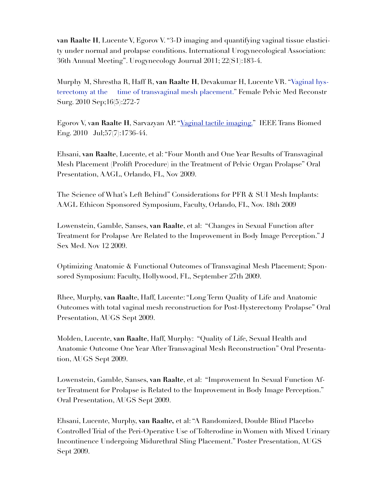**van Raalte H**, Lucente V, Egorov V. "3-D imaging and quantifying vaginal tissue elasticity under normal and prolapse conditions. International Urogynecological Association: 36th Annual Meeting". Urogynecology Journal 2011; 22(S1):183-4.

Murphy M, Shrestha R, Haff R, **van Raalte H**, Devakumar H, Lucente VR. "Vaginal hys[terectomy at the time of transvaginal mesh placement." Female Pelvic Med Reconstr](http://www.ncbi.nlm.nih.gov/pubmed/22453505) Surg. 2010 Sep;16(5):272-7

Egorov V, v**an Raalte H**, Sarvazyan AP. "[Vaginal tactile imaging."](http://www.ncbi.nlm.nih.gov/pubmed/20483695) IEEE Trans Biomed Eng. 2010 Jul;57(7):1736-44.

Ehsani, **van Raalte**, Lucente, et al: "Four Month and One Year Results of Transvaginal Mesh Placement (Prolift Procedure) in the Treatment of Pelvic Organ Prolapse" Oral Presentation, AAGL, Orlando, FL, Nov 2009.

The Science of What's Left Behind" Considerations for PFR & SUI Mesh Implants: AAGL Ethicon Sponsored Symposium, Faculty, Orlando, FL, Nov. 18th 2009

Lowenstein, Gamble, Sanses, **van Raalte**, et al: "Changes in Sexual Function after Treatment for Prolapse Are Related to the Improvement in Body Image Perception." J Sex Med. Nov 12 2009.

Optimizing Anatomic & Functional Outcomes of Transvaginal Mesh Placement; Sponsored Symposium: Faculty, Hollywood, FL, September 27th 2009.

Rhee, Murphy, **van Raalt**e, Haff, Lucente: "Long Term Quality of Life and Anatomic Outcomes with total vaginal mesh reconstruction for Post-Hysterectomy Prolapse" Oral Presentation, AUGS Sept 2009.

Molden, Lucente, **van Raalte**, Haff, Murphy: "Quality of Life, Sexual Health and Anatomic Outcome One Year After Transvaginal Mesh Reconstruction" Oral Presentation, AUGS Sept 2009.

Lowenstein, Gamble, Sanses, **van Raalte**, et al: "Improvement In Sexual Function After Treatment for Prolapse is Related to the Improvement in Body Image Perception." Oral Presentation, AUGS Sept 2009.

Ehsani, Lucente, Murphy, **van Raalte,** et al: "A Randomized, Double Blind Placebo Controlled Trial of the Peri-Operative Use of Tolterodine in Women with Mixed Urinary Incontinence Undergoing Midurethral Sling Placement." Poster Presentation, AUGS Sept 2009.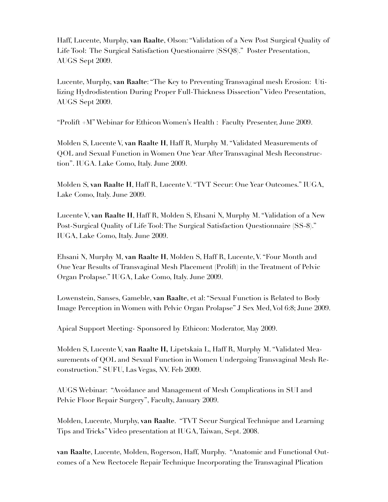Haff, Lucente, Murphy, **van Raalte**, Olson: "Validation of a New Post Surgical Quality of Life Tool: The Surgical Satisfaction Questionairre (SSQ8)." Poster Presentation, AUGS Sept 2009.

Lucente, Murphy, **van Raalte**: "The Key to Preventing Transvaginal mesh Erosion: Utilizing Hydrodistention During Proper Full-Thickness Dissection" Video Presentation, AUGS Sept 2009.

"Prolift +M" Webinar for Ethicon Women's Health : Faculty Presenter, June 2009.

Molden S, Lucente V, **van Raalte H**, Haff R, Murphy M. "Validated Measurements of QOL and Sexual Function in Women One Year After Transvaginal Mesh Reconstruction". IUGA. Lake Como, Italy. June 2009.

Molden S, **van Raalte H**, Haff R, Lucente V. "TVT Secur: One Year Outcomes." IUGA, Lake Como, Italy. June 2009.

Lucente V, **van Raalte H**, Haff R, Molden S, Ehsani N, Murphy M. "Validation of a New Post-Surgical Quality of Life Tool: The Surgical Satisfaction Questionnaire (SS-8)." IUGA, Lake Como, Italy. June 2009.

Ehsani N, Murphy M, **van Raalte H**, Molden S, Haff R, Lucente, V. "Four Month and One Year Results of Transvaginal Mesh Placement (Prolift) in the Treatment of Pelvic Organ Prolapse." IUGA, Lake Como, Italy. June 2009.

Lowenstein, Sanses, Gameble, **van Raalte**, et al: "Sexual Function is Related to Body Image Perception in Women with Pelvic Organ Prolapse" J Sex Med, Vol 6:8; June 2009.

Apical Support Meeting- Sponsored by Ethicon: Moderator, May 2009.

Molden S, Lucente V, **van Raalte H,** Lipetskaia L, Haff R, Murphy M. "Validated Measurements of QOL and Sexual Function in Women Undergoing Transvaginal Mesh Reconstruction." SUFU, Las Vegas, NV. Feb 2009.

AUGS Webinar: "Avoidance and Management of Mesh Complications in SUI and Pelvic Floor Repair Surgery", Faculty, January 2009.

Molden, Lucente, Murphy, **van Raalte**. "TVT Secur Surgical Technique and Learning Tips and Tricks" Video presentation at IUGA, Taiwan, Sept. 2008.

**van Raalte**, Lucente, Molden, Rogerson, Haff, Murphy. "Anatomic and Functional Outcomes of a New Rectocele Repair Technique Incorporating the Transvaginal Plication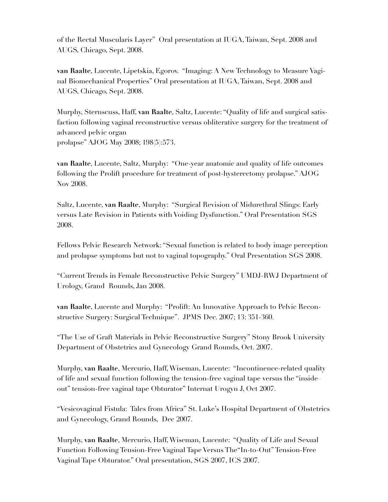of the Rectal Muscularis Layer" Oral presentation at IUGA, Taiwan, Sept. 2008 and AUGS, Chicago, Sept. 2008.

**van Raalte**, Lucente, Lipetskia, Egorov. "Imaging: A New Technology to Measure Vaginal Biomechanical Properties" Oral presentation at IUGA, Taiwan, Sept. 2008 and AUGS, Chicago, Sept. 2008.

Murphy, Sternscuss, Haff, **van Raalte**, Saltz, Lucente: "Quality of life and surgical satisfaction following vaginal reconstructive versus obliterative surgery for the treatment of advanced pelvic organ prolapse" AJOG May 2008; 198(5):573.

**van Raalte**, Lucente, Saltz, Murphy: "One-year anatomic and quality of life outcomes following the Prolift procedure for treatment of post-hysterectomy prolapse." AJOG Nov 2008.

Saltz, Lucente, **van Raalte**, Murphy: "Surgical Revision of Midurethral Slings: Early versus Late Revision in Patients with Voiding Dysfunction." Oral Presentation SGS 2008.

Fellows Pelvic Research Network: "Sexual function is related to body image perception and prolapse symptoms but not to vaginal topography." Oral Presentation SGS 2008.

"Current Trends in Female Reconstructive Pelvic Surgery" UMDJ-RWJ Department of Urology, Grand Rounds, Jan 2008.

**van Raalte**, Lucente and Murphy: "Prolift: An Innovative Approach to Pelvic Reconstructive Surgery: Surgical Technique". JPMS Dec. 2007; 13: 351-360.

"The Use of Graft Materials in Pelvic Reconstructive Surgery" Stony Brook University Department of Obstetrics and Gynecology Grand Rounds, Oct. 2007.

Murphy, **van Raalte**, Mercurio, Haff, Wiseman, Lucente: "Incontinence-related quality of life and sexual function following the tension-free vaginal tape versus the "inside– out" tension-free vaginal tape Obturator" Internat Urogyn J, Oct 2007.

"Vesicovaginal Fistula: Tales from Africa" St. Luke's Hospital Department of Obstetrics and Gynecology, Grand Rounds, Dec 2007.

Murphy, **van Raalte**, Mercurio, Haff, Wiseman, Lucente: "Quality of Life and Sexual Function Following Tension-Free Vaginal Tape Versus The"In-to-Out" Tension-Free Vaginal Tape Obturator." Oral presentation, SGS 2007, ICS 2007.